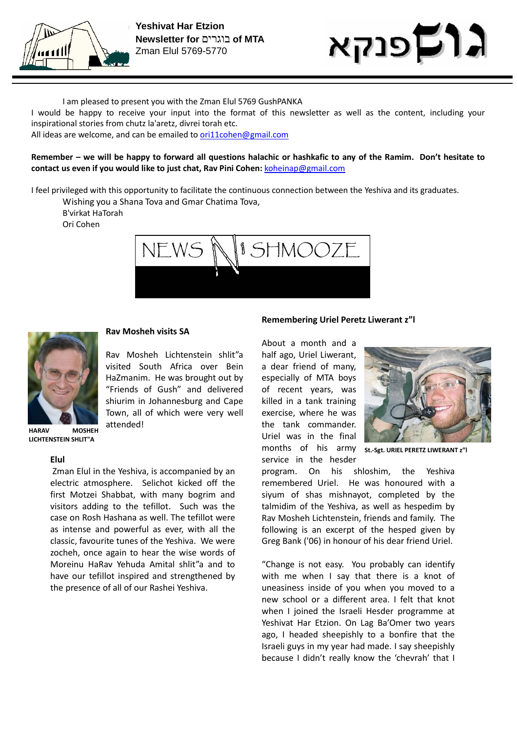



I am pleased to present you with the Zman Elul 5769 GushPANKA

I would be happy to receive your input into the format of this newsletter as well as the content, including your inspirational stories from chutz la'aretz, divrei torah etc.

All ideas are welcome, and can be emailed to ori11cohen@gmail.com

Remember – we will be happy to forward all questions halachic or hashkafic to any of the Ramim. Don't hesitate to contact us even if you would like to just chat, Rav Pini Cohen: koheinap@gmail.com

I feel privileged with this opportunity to facilitate the continuous connection between the Yeshiva and its graduates.

Wishing you a Shana Tova and Gmar Chatima Tova, B'virkat HaTorah Ori Cohen





### Rav Mosheh visits SA

Rav Mosheh Lichtenstein shlit"a visited South Africa over Bein HaZmanim. He was brought out by "Friends of Gush" and delivered shiurim in Johannesburg and Cape Town, all of which were very well attended!

HARAV MOSHEH LICHTENSTEIN SHLIT"A

#### Elul

 Zman Elul in the Yeshiva, is accompanied by an electric atmosphere. Selichot kicked off the first Motzei Shabbat, with many bogrim and visitors adding to the tefillot. Such was the case on Rosh Hashana as well. The tefillot were as intense and powerful as ever, with all the classic, favourite tunes of the Yeshiva. We were zocheh, once again to hear the wise words of Moreinu HaRav Yehuda Amital shlit"a and to have our tefillot inspired and strengthened by the presence of all of our Rashei Yeshiva.

#### Remembering Uriel Peretz Liwerant z"l

About a month and a half ago, Uriel Liwerant, a dear friend of many, especially of MTA boys of recent years, was killed in a tank training exercise, where he was the tank commander. Uriel was in the final months of his army

service in the hesder



St.-Sgt. URIEL PERETZ LIWERANT z"l

program. On his shloshim, the Yeshiva remembered Uriel. He was honoured with a siyum of shas mishnayot, completed by the talmidim of the Yeshiva, as well as hespedim by Rav Mosheh Lichtenstein, friends and family. The following is an excerpt of the hesped given by Greg Bank ('06) in honour of his dear friend Uriel.

"Change is not easy. You probably can identify with me when I say that there is a knot of uneasiness inside of you when you moved to a new school or a different area. I felt that knot when I joined the Israeli Hesder programme at Yeshivat Har Etzion. On Lag Ba'Omer two years ago, I headed sheepishly to a bonfire that the Israeli guys in my year had made. I say sheepishly because I didn't really know the 'chevrah' that I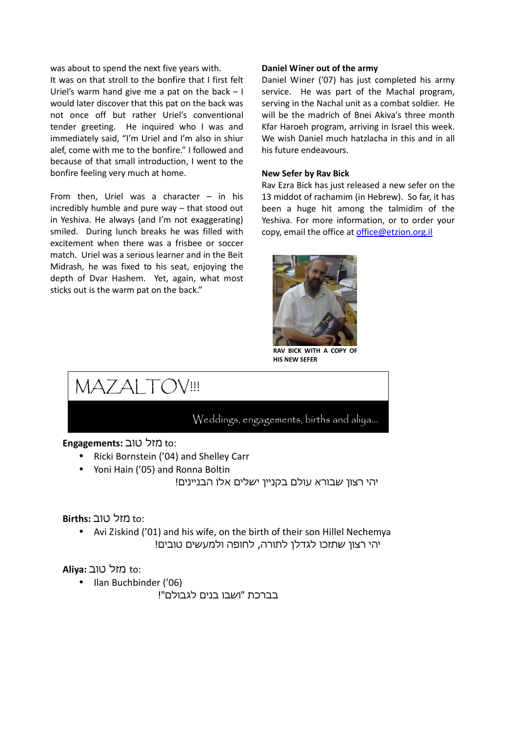was about to spend the next five years with.

It was on that stroll to the bonfire that I first felt Uriel's warm hand give me a pat on the back  $-1$ would later discover that this pat on the back was not once off but rather Uriel's conventional tender greeting. He inquired who I was and immediately said, "I'm Uriel and I'm also in shiur alef, come with me to the bonfire." I followed and because of that small introduction, I went to the bonfire feeling very much at home.

From then, Uriel was a character  $-$  in his incredibly humble and pure way – that stood out in Yeshiva. He always (and I'm not exaggerating) smiled. During lunch breaks he was filled with excitement when there was a frisbee or soccer match. Uriel was a serious learner and in the Beit Midrash, he was fixed to his seat, enjoying the depth of Dvar Hashem. Yet, again, what most sticks out is the warm pat on the back."

#### Daniel Winer out of the army

Daniel Winer ('07) has just completed his army service. He was part of the Machal program, serving in the Nachal unit as a combat soldier. He will be the madrich of Bnei Akiva's three month Kfar Haroeh program, arriving in Israel this week. We wish Daniel much hatzlacha in this and in all his future endeavours.

#### New Sefer by Rav Bick

Rav Ezra Bick has just released a new sefer on the 13 middot of rachamim (in Hebrew). So far, it has been a huge hit among the talmidim of the Yeshiva. For more information, or to order your copy, email the office at office@etzion.org.il



RAV BICK WITH A COPY HIS NEW SEFER

MAZALTOV!!!

# Weddings, engagements, births and aliya...

to: מזל טוב :Engagements

- Ricki Bornstein ('04) and Shelley Carr
- Yoni Hain ('05) and Ronna Boltin

יהי רצון שבורא עולם בקניין ישלים אלו הבניינים!

# to: מזל טוב :Births

• Avi Ziskind ('01) and his wife, on the birth of their son Hillel Nechemya יהי רצון שתזכו לגדלן לתורה, לחופה ולמעשים טובים!

aliya: מזל טוב to:

• Ilan Buchbinder ('06)

בברכת "ושבו בנים לגבולם !"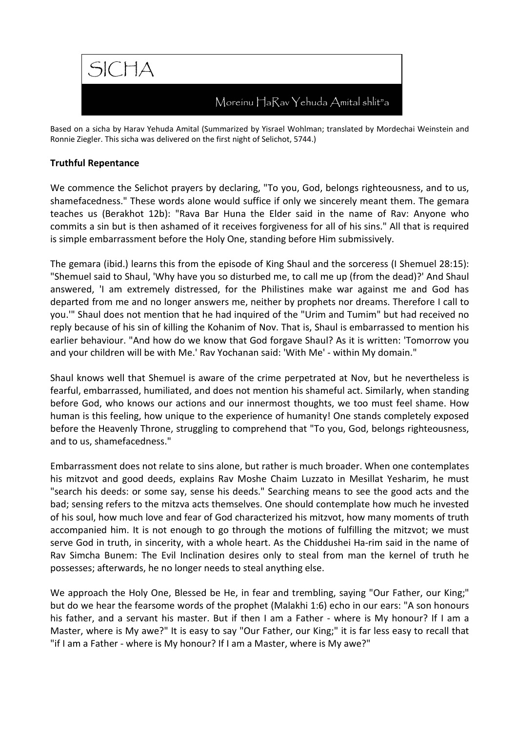

Based on a sicha by Harav Yehuda Amital (Summarized by Yisrael Wohlman; translated by Mordechai Weinstein and Ronnie Ziegler. This sicha was delivered on the first night of Selichot, 5744.)

### Truthful Repentance

We commence the Selichot prayers by declaring, "To you, God, belongs righteousness, and to us, shamefacedness." These words alone would suffice if only we sincerely meant them. The gemara teaches us (Berakhot 12b): "Rava Bar Huna the Elder said in the name of Rav: Anyone who commits a sin but is then ashamed of it receives forgiveness for all of his sins." All that is required is simple embarrassment before the Holy One, standing before Him submissively.

The gemara (ibid.) learns this from the episode of King Shaul and the sorceress (I Shemuel 28:15): "Shemuel said to Shaul, 'Why have you so disturbed me, to call me up (from the dead)?' And Shaul answered, 'I am extremely distressed, for the Philistines make war against me and God has departed from me and no longer answers me, neither by prophets nor dreams. Therefore I call to you.'" Shaul does not mention that he had inquired of the "Urim and Tumim" but had received no reply because of his sin of killing the Kohanim of Nov. That is, Shaul is embarrassed to mention his earlier behaviour. "And how do we know that God forgave Shaul? As it is written: 'Tomorrow you and your children will be with Me.' Rav Yochanan said: 'With Me' - within My domain."

Shaul knows well that Shemuel is aware of the crime perpetrated at Nov, but he nevertheless is fearful, embarrassed, humiliated, and does not mention his shameful act. Similarly, when standing before God, who knows our actions and our innermost thoughts, we too must feel shame. How human is this feeling, how unique to the experience of humanity! One stands completely exposed before the Heavenly Throne, struggling to comprehend that "To you, God, belongs righteousness, and to us, shamefacedness."

Embarrassment does not relate to sins alone, but rather is much broader. When one contemplates his mitzvot and good deeds, explains Rav Moshe Chaim Luzzato in Mesillat Yesharim, he must "search his deeds: or some say, sense his deeds." Searching means to see the good acts and the bad; sensing refers to the mitzva acts themselves. One should contemplate how much he invested of his soul, how much love and fear of God characterized his mitzvot, how many moments of truth accompanied him. It is not enough to go through the motions of fulfilling the mitzvot; we must serve God in truth, in sincerity, with a whole heart. As the Chiddushei Ha-rim said in the name of Rav Simcha Bunem: The Evil Inclination desires only to steal from man the kernel of truth he possesses; afterwards, he no longer needs to steal anything else.

We approach the Holy One, Blessed be He, in fear and trembling, saying "Our Father, our King;" but do we hear the fearsome words of the prophet (Malakhi 1:6) echo in our ears: "A son honours his father, and a servant his master. But if then I am a Father - where is My honour? If I am a Master, where is My awe?" It is easy to say "Our Father, our King;" it is far less easy to recall that "if I am a Father - where is My honour? If I am a Master, where is My awe?"